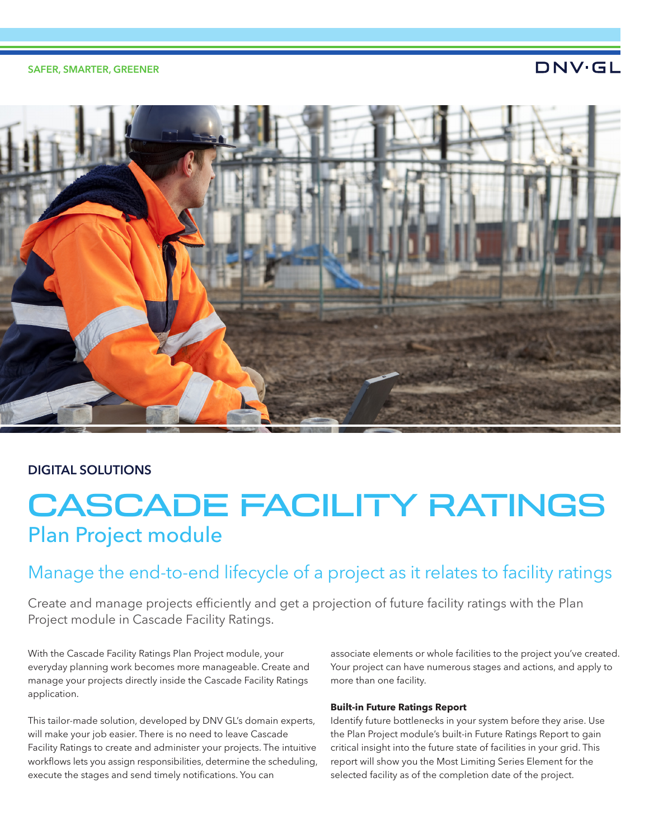#### SAFER, SMARTER, GREENER

### **DNV·GL**



### DIGITAL SOLUTIONS

# CASCADE FACILITY RATINGS Plan Project module

### Manage the end-to-end lifecycle of a project as it relates to facility ratings

Create and manage projects efficiently and get a projection of future facility ratings with the Plan Project module in Cascade Facility Ratings.

With the Cascade Facility Ratings Plan Project module, your everyday planning work becomes more manageable. Create and manage your projects directly inside the Cascade Facility Ratings application.

This tailor-made solution, developed by DNV GL's domain experts, will make your job easier. There is no need to leave Cascade Facility Ratings to create and administer your projects. The intuitive workflows lets you assign responsibilities, determine the scheduling, execute the stages and send timely notifications. You can

associate elements or whole facilities to the project you've created. Your project can have numerous stages and actions, and apply to more than one facility.

#### **Built-in Future Ratings Report**

Identify future bottlenecks in your system before they arise. Use the Plan Project module's built-in Future Ratings Report to gain critical insight into the future state of facilities in your grid. This report will show you the Most Limiting Series Element for the selected facility as of the completion date of the project.